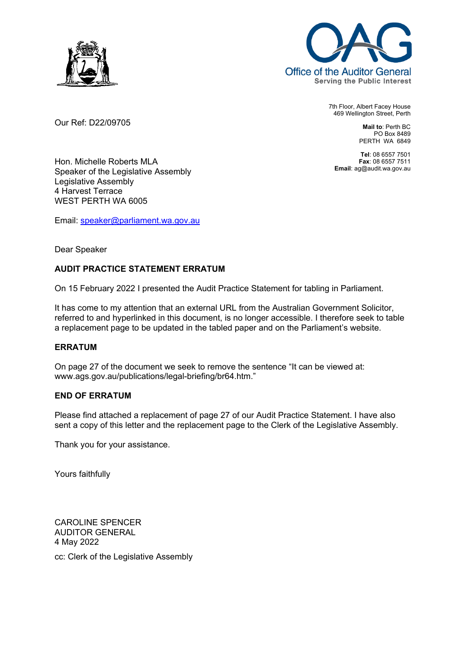

Our Ref: D22/09705



7th Floor, Albert Facey House 469 Wellington Street, Perth

> **Mail to**: Perth BC PO Box 8489 PERTH WA 6849

**Tel**: 08 6557 7501 **Fax**: 08 6557 7511 **Email**: ag@audit.wa.gov.au

Hon. Michelle Roberts MLA Speaker of the Legislative Assembly Legislative Assembly 4 Harvest Terrace WEST PERTH WA 6005

Email: speaker@parliament.wa.gov.au

### Dear Speaker

## **AUDIT PRACTICE STATEMENT ERRATUM**

On 15 February 2022 I presented the Audit Practice Statement for tabling in Parliament.

It has come to my attention that an external URL from the Australian Government Solicitor, referred to and hyperlinked in this document, is no longer accessible. I therefore seek to table a replacement page to be updated in the tabled paper and on the Parliament's website.

#### **ERRATUM**

On page 27 of the document we seek to remove the sentence "It can be viewed at: www.ags.gov.au/publications/legal-briefing/br64.htm."

#### **END OF ERRATUM**

Please find attached a replacement of page 27 of our Audit Practice Statement. I have also sent a copy of this letter and the replacement page to the Clerk of the Legislative Assembly.

Thank you for your assistance.

Yours faithfully

CAROLINE SPENCER AUDITOR GENERAL 4 May 2022 cc: Clerk of the Legislative Assembly